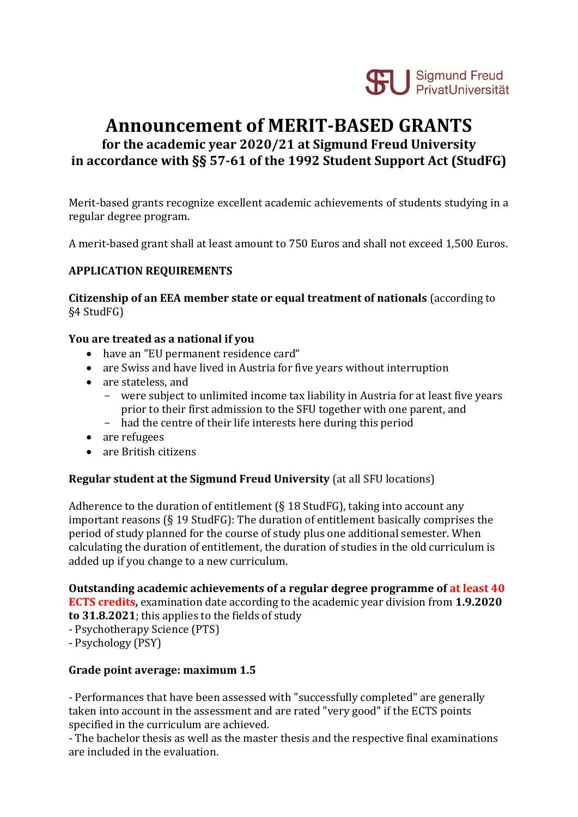

# **Announcement of MERIT-BASED GRANTS**

**for the academic year 2020/21 at Sigmund Freud University in accordance with §§ 57-61 of the 1992 Student Support Act (StudFG)**

Merit-based grants recognize excellent academic achievements of students studying in a regular degree program.

A merit-based grant shall at least amount to 750 Euros and shall not exceed 1,500 Euros.

## **APPLICATION REQUIREMENTS**

**Citizenship of an EEA member state or equal treatment of nationals** (according to §4 StudFG)

#### **You are treated as a national if you**

- have an "EU permanent residence card"
- are Swiss and have lived in Austria for five years without interruption
- are stateless, and
	- were subject to unlimited income tax liability in Austria for at least five years prior to their first admission to the SFU together with one parent, and
	- had the centre of their life interests here during this period
- are refugees
- are British citizens

#### **Regular student at the Sigmund Freud University** (at all SFU locations)

Adherence to the duration of entitlement (§ 18 StudFG), taking into account any important reasons (§ 19 StudFG): The duration of entitlement basically comprises the period of study planned for the course of study plus one additional semester. When calculating the duration of entitlement, the duration of studies in the old curriculum is added up if you change to a new curriculum.

**Outstanding academic achievements of a regular degree programme of at least 40** 

**ECTS credits,** examination date according to the academic year division from **1.9.2020 to 31.8.2021**; this applies to the fields of study

- Psychotherapy Science (PTS)
- Psychology (PSY)

#### **Grade point average: maximum 1.5**

- Performances that have been assessed with "successfully completed" are generally taken into account in the assessment and are rated "very good" if the ECTS points specified in the curriculum are achieved.

- The bachelor thesis as well as the master thesis and the respective final examinations are included in the evaluation.